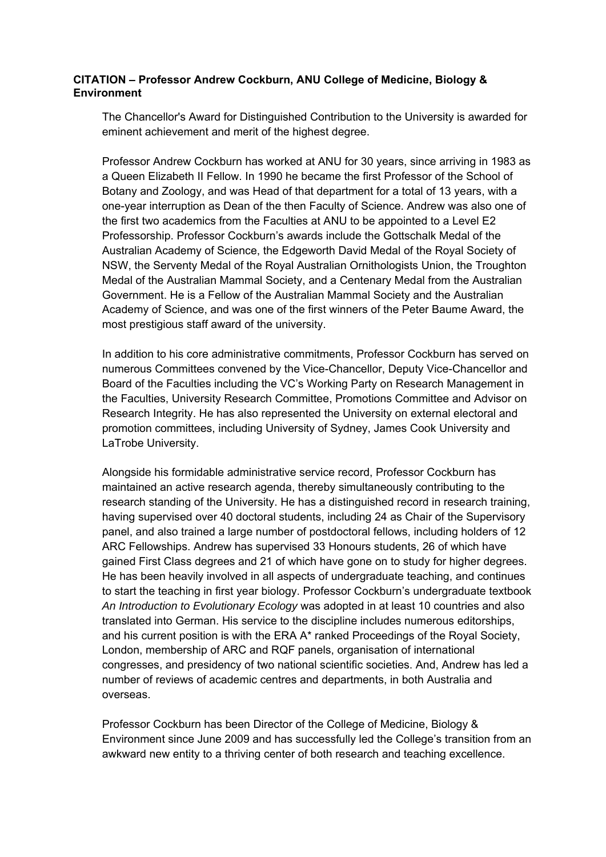## **CITATION – Professor Andrew Cockburn, ANU College of Medicine, Biology & Environment**

The Chancellor's Award for Distinguished Contribution to the University is awarded for eminent achievement and merit of the highest degree.

Professor Andrew Cockburn has worked at ANU for 30 years, since arriving in 1983 as a Queen Elizabeth II Fellow. In 1990 he became the first Professor of the School of Botany and Zoology, and was Head of that department for a total of 13 years, with a one-year interruption as Dean of the then Faculty of Science. Andrew was also one of the first two academics from the Faculties at ANU to be appointed to a Level E2 Professorship. Professor Cockburn's awards include the Gottschalk Medal of the Australian Academy of Science, the Edgeworth David Medal of the Royal Society of NSW, the Serventy Medal of the Royal Australian Ornithologists Union, the Troughton Medal of the Australian Mammal Society, and a Centenary Medal from the Australian Government. He is a Fellow of the Australian Mammal Society and the Australian Academy of Science, and was one of the first winners of the Peter Baume Award, the most prestigious staff award of the university.

In addition to his core administrative commitments, Professor Cockburn has served on numerous Committees convened by the Vice-Chancellor, Deputy Vice-Chancellor and Board of the Faculties including the VC's Working Party on Research Management in the Faculties, University Research Committee, Promotions Committee and Advisor on Research Integrity. He has also represented the University on external electoral and promotion committees, including University of Sydney, James Cook University and LaTrobe University.

Alongside his formidable administrative service record, Professor Cockburn has maintained an active research agenda, thereby simultaneously contributing to the research standing of the University. He has a distinguished record in research training, having supervised over 40 doctoral students, including 24 as Chair of the Supervisory panel, and also trained a large number of postdoctoral fellows, including holders of 12 ARC Fellowships. Andrew has supervised 33 Honours students, 26 of which have gained First Class degrees and 21 of which have gone on to study for higher degrees. He has been heavily involved in all aspects of undergraduate teaching, and continues to start the teaching in first year biology. Professor Cockburn's undergraduate textbook *An Introduction to Evolutionary Ecology* was adopted in at least 10 countries and also translated into German. His service to the discipline includes numerous editorships, and his current position is with the ERA A\* ranked Proceedings of the Royal Society, London, membership of ARC and RQF panels, organisation of international congresses, and presidency of two national scientific societies. And, Andrew has led a number of reviews of academic centres and departments, in both Australia and overseas.

Professor Cockburn has been Director of the College of Medicine, Biology & Environment since June 2009 and has successfully led the College's transition from an awkward new entity to a thriving center of both research and teaching excellence.